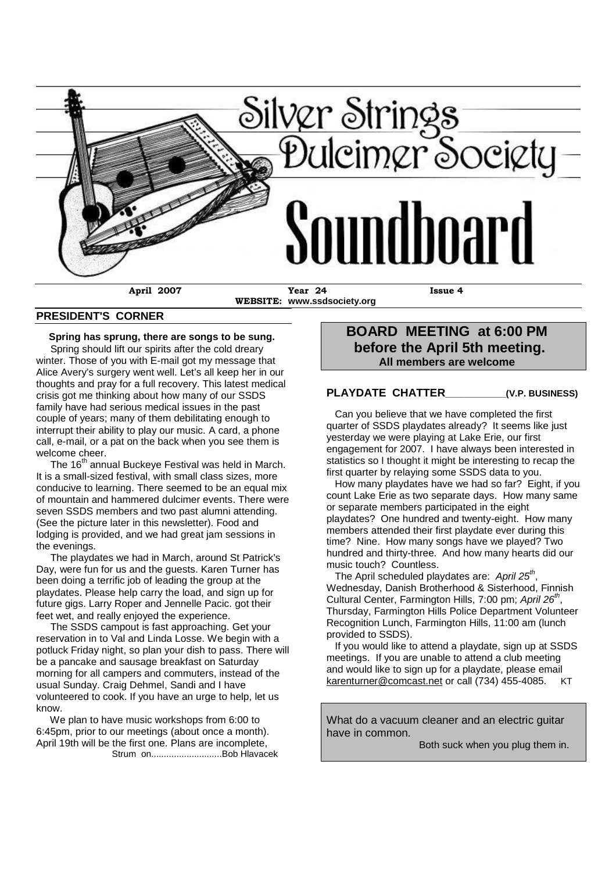

**WEBSITE: www.ssdsociety.org**

#### **PRESIDENT'S CORNER**

**Spring has sprung, there are songs to be sung.**

Spring should lift our spirits after the cold dreary winter. Those of you with E-mail got my message that Alice Avery's surgery went well. Let's all keep her in our thoughts and pray for a full recovery. This latest medical crisis got me thinking about how many of our SSDS family have had serious medical issues in the past couple of years; many of them debilitating enough to interrupt their ability to play our music. A card, a phone call, e-mail, or a pat on the back when you see them is welcome cheer.

The 16<sup>th</sup> annual Buckeye Festival was held in March. It is a small-sized festival, with small class sizes, more conducive to learning. There seemed to be an equal mix of mountain and hammered dulcimer events. There were seven SSDS members and two past alumni attending. (See the picture later in this newsletter). Food and lodging is provided, and we had great jam sessions in the evenings.

The playdates we had in March, around St Patrick's Day, were fun for us and the guests. Karen Turner has been doing a terrific job of leading the group at the playdates. Please help carry the load, and sign up for future gigs. Larry Roper and Jennelle Pacic. got their feet wet, and really enjoyed the experience.

The SSDS campout is fast approaching. Get your reservation in to Val and Linda Losse. We begin with a potluck Friday night, so plan your dish to pass. There will be a pancake and sausage breakfast on Saturday morning for all campers and commuters, instead of the usual Sunday. Craig Dehmel, Sandi and I have volunteered to cook. If you have an urge to help, let us know.

We plan to have music workshops from 6:00 to 6:45pm, prior to our meetings (about once a month). April 19th will be the first one. Plans are incomplete, Strum on............................Bob Hlavacek

### **BOARD MEETING at 6:00 PM before the April 5th meeting. All members are welcome**

#### **PLAYDATE CHATTER\_\_\_\_\_\_\_\_\_\_\_\_(V.P. BUSINESS)**

Can you believe that we have completed the first quarter of SSDS playdates already? It seems like just yesterday we were playing at Lake Erie, our first engagement for 2007. I have always been interested in statistics so I thought it might be interesting to recap the first quarter by relaying some SSDS data to you.

How many playdates have we had so far? Eight, if you count Lake Erie as two separate days. How many same or separate members participated in the eight playdates? One hundred and twenty-eight. How many members attended their first playdate ever during this time? Nine. How many songs have we played? Two hundred and thirty-three. And how many hearts did our music touch? Countless.

The April scheduled playdates are: *April 25th* , Wednesday, Danish Brotherhood & Sisterhood, Finnish Cultural Center, Farmington Hills, 7:00 pm; *April 26th* , Thursday, Farmington Hills Police Department Volunteer Recognition Lunch, Farmington Hills, 11:00 am (lunch provided to SSDS).

If you would like to attend a playdate, sign up at SSDS meetings. If you are unable to attend a club meeting and would like to sign up for a playdate, please email karenturner@comcast.net or call (734) 455-4085. KT

What do a vacuum cleaner and an electric quitar have in common.

Both suck when you plug them in.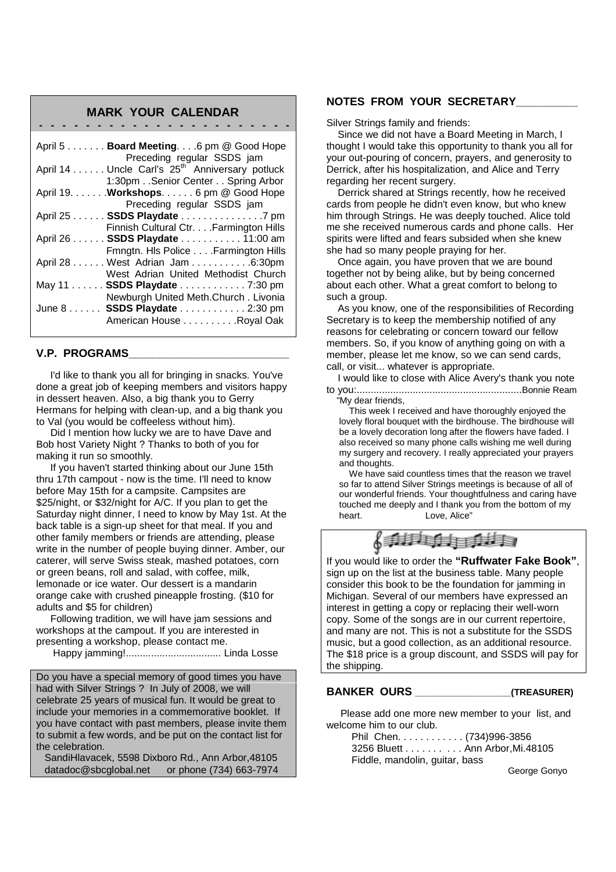#### **MARK YOUR CALENDAR**

**- - - - - - - - - - - - - - - - - - - - - -**

| April $5 \ldots \ldots$ . Board Meeting . 6 pm @ Good Hope                               |
|------------------------------------------------------------------------------------------|
| Preceding regular SSDS jam<br>April 14 Uncle Carl's 25 <sup>th</sup> Anniversary potluck |
| 1:30pm. . Senior Center Spring Arbor                                                     |
| April 19. Workshops. 6 pm @ Good Hope                                                    |
| Preceding regular SSDS jam                                                               |
| April 25 SSDS Playdate 7 pm                                                              |
| Finnish Cultural Ctr. Farmington Hills                                                   |
| April 26 SSDS Playdate 11:00 am                                                          |
| Fmngtn. Hls Police Farmington Hills                                                      |
| April 28 West Adrian Jam 6:30pm                                                          |
| West Adrian United Methodist Church                                                      |
| May 11 SSDS Playdate 7:30 pm                                                             |
| Newburgh United Meth.Church. Livonia                                                     |
| June 8 SSDS Playdate 2:30 pm                                                             |
| American House Royal Oak                                                                 |

#### **V.P. PROGRAMS\_\_\_\_\_\_\_\_\_\_\_\_\_\_\_\_\_\_\_\_\_\_\_\_\_\_**

I'd like to thank you all for bringing in snacks. You've done a great job of keeping members and visitors happy in dessert heaven. Also, a big thank you to Gerry Hermans for helping with clean-up, and a big thank you to Val (you would be coffeeless without him).

Did I mention how lucky we are to have Dave and Bob host Variety Night ? Thanks to both of you for making it run so smoothly.

If you haven't started thinking about our June 15th thru 17th campout - now is the time. I'll need to know before May 15th for a campsite. Campsites are \$25/night, or \$32/night for A/C. If you plan to get the Saturday night dinner, I need to know by May 1st. At the back table is a sign-up sheet for that meal. If you and other family members or friends are attending, please write in the number of people buying dinner. Amber, our caterer, will serve Swiss steak, mashed potatoes, corn or green beans, roll and salad, with coffee, milk, lemonade or ice water. Our dessert is a mandarin orange cake with crushed pineapple frosting. (\$10 for adults and \$5 for children)

Following tradition, we will have jam sessions and workshops at the campout. If you are interested in presenting a workshop, please contact me.

Happy jamming!.................................. Linda Losse

Do you have a special memory of good times you have had with Silver Strings ? In July of 2008, we will celebrate 25 years of musical fun. It would be great to include your memories in a commemorative booklet. If you have contact with past members, please invite them to submit a few words, and be put on the contact list for the celebration.

SandiHlavacek, 5598 Dixboro Rd., Ann Arbor,48105 datadoc@sbcglobal.net or phone (734) 663-7974

#### **NOTES FROM YOUR SECRETARY\_\_\_\_\_\_\_\_\_\_**

Silver Strings family and friends:

Since we did not have a Board Meeting in March, I thought I would take this opportunity to thank you all for your out-pouring of concern, prayers, and generosity to Derrick, after his hospitalization, and Alice and Terry regarding her recent surgery.

Derrick shared at Strings recently, how he received cards from people he didn't even know, but who knew him through Strings. He was deeply touched. Alice told me she received numerous cards and phone calls. Her spirits were lifted and fears subsided when she knew she had so many people praying for her.

Once again, you have proven that we are bound together not by being alike, but by being concerned about each other. What a great comfort to belong to such a group.

As you know, one of the responsibilities of Recording Secretary is to keep the membership notified of any reasons for celebrating or concern toward our fellow members. So, if you know of anything going on with a member, please let me know, so we can send cards, call, or visit... whatever is appropriate.

I would like to close with Alice Avery's thank you note to you:...........................................................Bonnie Ream

"My dear friends,

This week I received and have thoroughly enjoyed the lovely floral bouquet with the birdhouse. The birdhouse will be a lovely decoration long after the flowers have faded. I also received so many phone calls wishing me well during my surgery and recovery. I really appreciated your prayers and thoughts.

We have said countless times that the reason we travel so far to attend Silver Strings meetings is because of all of our wonderful friends. Your thoughtfulness and caring have touched me deeply and I thank you from the bottom of my heart. Love Alice"



If you would like to order the **"Ruffwater Fake Book"**, sign up on the list at the business table. Many people consider this book to be the foundation for jamming in Michigan. Several of our members have expressed an interest in getting a copy or replacing their well-worn copy. Some of the songs are in our current repertoire, and many are not. This is not a substitute for the SSDS music, but a good collection, as an additional resource. The \$18 price is a group discount, and SSDS will pay for the shipping.

#### **BANKER OURS \_\_\_\_\_\_\_\_\_\_\_\_\_\_\_\_\_\_\_(TREASURER)**

Please add one more new member to your list, and welcome him to our club.

Phil Chen. . . . . . . . . . . . (734)996-3856 3256 Bluett . . . . . . . . . . Ann Arbor,Mi.48105 Fiddle, mandolin, guitar, bass

George Gonyo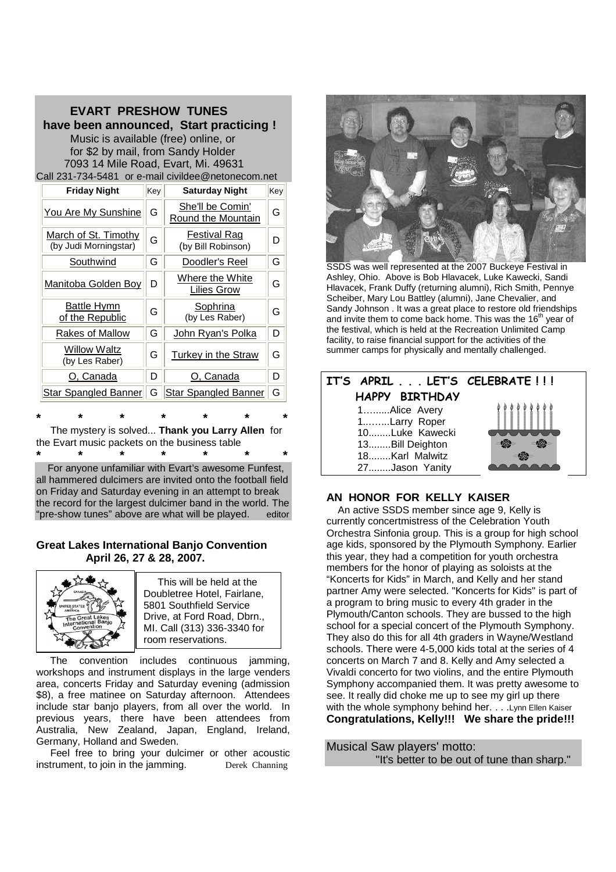| <b>EVART PRESHOW TUNES</b><br>have been announced, Start practicing !<br>Music is available (free) online, or<br>for \$2 by mail, from Sandy Holder<br>7093 14 Mile Road, Evart, Mi. 49631<br>Call 231-734-5481 or e-mail civildee@netonecom.net |                      |     |                                        |     |  |
|--------------------------------------------------------------------------------------------------------------------------------------------------------------------------------------------------------------------------------------------------|----------------------|-----|----------------------------------------|-----|--|
|                                                                                                                                                                                                                                                  | <b>Friday Night</b>  | Key | <b>Saturday Night</b>                  | Key |  |
|                                                                                                                                                                                                                                                  | You Are My Sunshine  | G   | She'll be Comin'<br>Round the Mountain | G   |  |
|                                                                                                                                                                                                                                                  | March of St. Timothy |     | Festival Rag                           |     |  |

| <b>MAIGH OF OLITIMITY</b><br>(by Judi Morningstar) | G | ι σοιιναι ιναν<br>(by Bill Robinson)  | D |
|----------------------------------------------------|---|---------------------------------------|---|
| Southwind                                          | G | Doodler's Reel                        | G |
| Manitoba Golden Boy                                | D | Where the White<br><b>Lilies Grow</b> | G |
| <b>Battle Hymn</b><br>of the Republic              | G | Sophrina<br>(by Les Raber)            | G |
| Rakes of Mallow                                    | G | John Ryan's Polka                     | D |
| <b>Willow Waltz</b><br>(by Les Raber)              | G | Turkey in the Straw                   | G |
| O, Canada                                          | D | O. Canada                             | D |
| <b>Star Spangled Banner</b>                        | G | <b>Star Spangled Banner</b>           | G |

**\* \* \* \* \* \* \*** The mystery is solved... **Thank you Larry Allen** for the Evart music packets on the business table **\* \* \* \* \* \* \***

For anyone unfamiliar with Evart's awesome Funfest, all hammered dulcimers are invited onto the football field on Friday and Saturday evening in an attempt to break the record for the largest dulcimer band in the world. The "pre-show tunes" above are what will be played. editor

#### **Great Lakes International Banjo Convention April 26, 27 & 28, 2007.**



This will be held at the Doubletree Hotel, Fairlane, 5801 Southfield Service Drive, at Ford Road, Dbrn., MI. Call (313) 336-3340 for room reservations.

The convention includes continuous jamming, workshops and instrument displays in the large venders area, concerts Friday and Saturday evening (admission \$8), a free matinee on Saturday afternoon. Attendees include star banjo players, from all over the world. In previous years, there have been attendees from Australia, New Zealand, Japan, England, Ireland, Germany, Holland and Sweden.

Feel free to bring your dulcimer or other acoustic instrument, to join in the jamming. Derek Channing



SSDS was well represented at the 2007 Buckeye Festival in Ashley, Ohio. Above is Bob Hlavacek, Luke Kawecki, Sandi Hlavacek, Frank Duffy (returning alumni), Rich Smith, Pennye Scheiber, Mary Lou Battley (alumni), Jane Chevalier, and Sandy Johnson . It was a great place to restore old friendships and invite them to come back home. This was the 16<sup>th</sup> year of the festival, which is held at the Recreation Unlimited Camp facility, to raise financial support for the activities of the summer camps for physically and mentally challenged.



#### **AN HONOR FOR KELLY KAISER**

An active SSDS member since age 9, Kelly is currently concertmistress of the Celebration Youth Orchestra Sinfonia group. This is a group for high school age kids, sponsored by the Plymouth Symphony. Earlier this year, they had a competition for youth orchestra members for the honor of playing as soloists at the "Koncerts for Kids" in March, and Kelly and her stand partner Amy were selected. "Koncerts for Kids" is part of a program to bring music to every 4th grader in the Plymouth/Canton schools. They are bussed to the high school for a special concert of the Plymouth Symphony. They also do this for all 4th graders in Wayne/Westland schools. There were 4-5,000 kids total at the series of 4 concerts on March 7 and 8. Kelly and Amy selected a Vivaldi concerto for two violins, and the entire Plymouth Symphony accompanied them. It was pretty awesome to see. It really did choke me up to see my girl up there with the whole symphony behind her. . . .Lynn Ellen Kaiser **Congratulations, Kelly!!! We share the pride!!!**

Musical Saw players' motto: "It's better to be out of tune than sharp."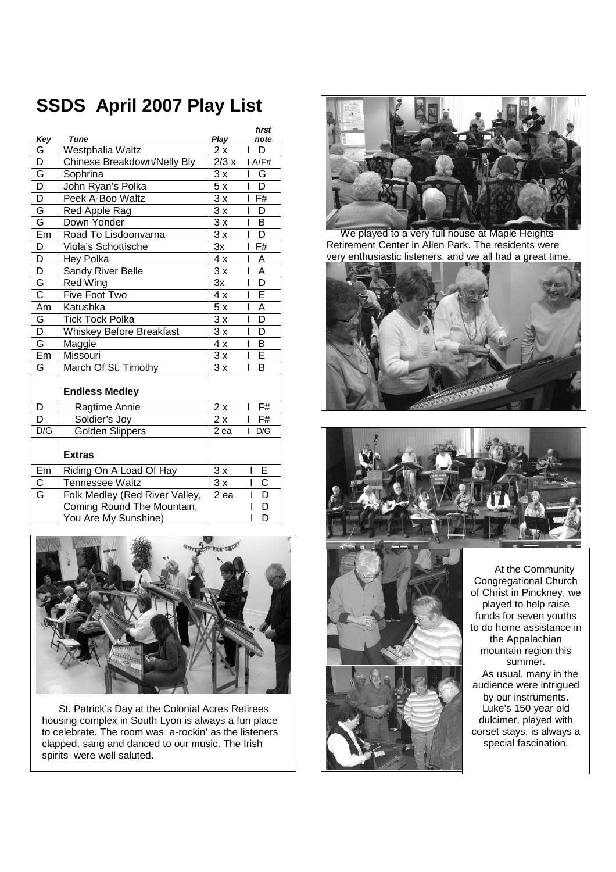# **SSDS April 2007 Play List**

|                         |                                 |                 | first                        |
|-------------------------|---------------------------------|-----------------|------------------------------|
| Key                     | Tune                            | Play            | note                         |
| G                       | Westphalia Waltz                | 2 x             | D                            |
| D                       | Chinese Breakdown/Nelly Bly     | 2/3x            | I A/F#                       |
| G                       | Sophrina                        | 3x              | I<br>G                       |
| $\overline{\mathsf{D}}$ | John Ryan's Polka               | 5x              | $\overline{\mathsf{D}}$<br>L |
| $\overline{\mathsf{D}}$ | Peek A-Boo Waltz                | $\overline{3x}$ | $I$ F#                       |
| G                       | Red Apple Rag                   | $\overline{3x}$ | D<br>L                       |
| Ġ                       | Down Yonder                     | 3x              | B<br>L                       |
| Em                      | Road To Lisdoonvarna            | 3x              | $\overline{\mathsf{D}}$<br>I |
| D                       | Viola's Schottische             | 3x              | F#<br>ı                      |
| D                       | Hey Polka                       | 4x              | A<br>I                       |
| $\overline{D}$          | Sandy River Belle               | 3x              | $\overline{A}$<br>L          |
| G                       | Red Wing                        | 3x              | $\overline{\mathsf{D}}$<br>L |
| $\overline{\text{c}}$   | Five Foot Two                   | $\overline{4}x$ | Ē<br>L                       |
| Am                      | Katushka                        | 5x              | Ā<br>I                       |
| $\overline{G}$          | <b>Tick Tock Polka</b>          | 3x              | $\overline{\mathsf{D}}$<br>L |
| $\overline{\mathsf{D}}$ | <b>Whiskey Before Breakfast</b> | 3x              | D<br>I                       |
| G                       | Maggie                          | 4x              | B<br>L                       |
| Em                      | Missouri                        | 3x              | E<br>L                       |
| G                       | March Of St. Timothy            | 3x              | B<br>I                       |
|                         | <b>Endless Medley</b>           |                 |                              |
| D                       | Ragtime Annie                   | 2x              | F#<br>L                      |
| D                       | Soldier's Joy                   | 2x              | F#<br>I                      |
| D/G                     | <b>Golden Slippers</b>          | 2 ea            | D/G<br>L                     |
|                         | <b>Extras</b>                   |                 |                              |
| Em                      | Riding On A Load Of Hay         | 3x              | Ε<br>I                       |
| $\overline{\text{c}}$   | <b>Tennessee Waltz</b>          | $\overline{3x}$ | $\overline{\text{c}}$<br>I   |
| G                       | Folk Medley (Red River Valley,  | 2 ea            | $\overline{\mathsf{D}}$<br>ı |
|                         | Coming Round The Mountain,      |                 | D                            |
|                         | You Are My Sunshine)            |                 | D                            |



St. Patrick's Day at the Colonial Acres Retirees housing complex in South Lyon is always a fun place to celebrate. The room was a-rockin' as the listeners clapped, sang and danced to our music. The Irish spirits were well saluted.



We played to a very full house at Maple Heights Retirement Center in Allen Park. The residents were very enthusiastic listeners, and we all had a great time.







At the Community Congregational Church of Christ in Pinckney, we played to help raise funds for seven youths to do home assistance in the Appalachian mountain region this summer. As usual, many in the audience were intrigued by our instruments. Luke's 150 year old dulcimer, played with corset stays, is always a special fascination.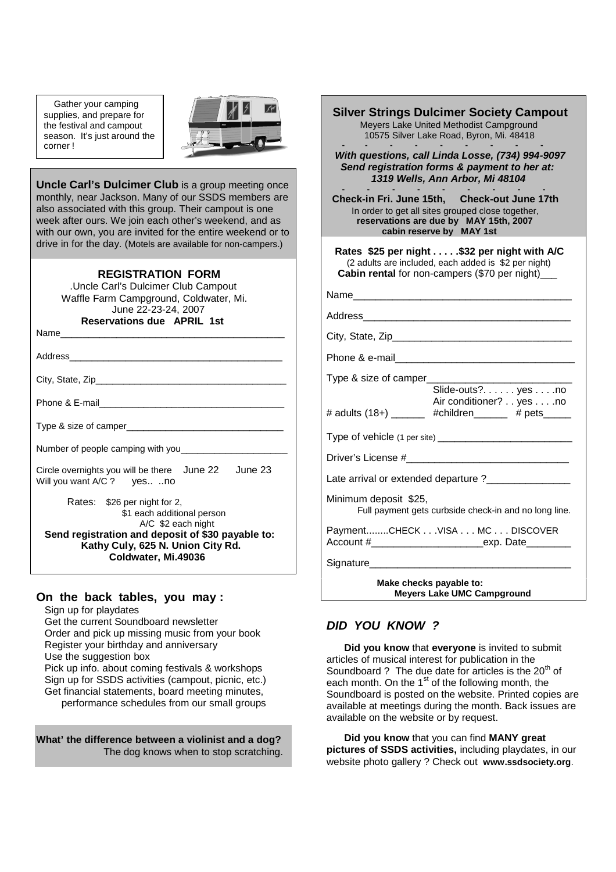Gather your camping supplies, and prepare for the festival and campout season. It's just around the corner !



**Uncle Carl's Dulcimer Club** is a group meeting once monthly, near Jackson. Many of our SSDS members are also associated with this group. Their campout is one week after ours. We join each other's weekend, and as with our own, you are invited for the entire weekend or to drive in for the day. (Motels are available for non-campers.)

#### **REGISTRATION FORM**

.Uncle Carl's Dulcimer Club Campout Waffle Farm Campground, Coldwater, Mi. June 22-23-24, 2007 **Reservations due APRIL 1st**

Name\_\_\_\_\_\_\_\_\_\_\_\_\_\_\_\_\_\_\_\_\_\_\_\_\_\_\_\_\_\_\_\_\_\_\_\_\_\_\_\_

Address\_\_\_\_\_\_\_\_\_\_\_\_\_\_\_\_\_\_\_\_\_\_\_\_\_\_\_\_\_\_\_\_\_\_\_\_\_\_

City, State, Zip\_

Phone & E-mail

Type & size of camper

Number of people camping with you

Circle overnights you will be there June 22 June 23 Will you want A/C ? yes.. ..no

Rates: \$26 per night for 2, \$1 each additional person A/C \$2 each night **Send registration and deposit of \$30 payable to: Kathy Culy, 625 N. Union City Rd. Coldwater, Mi.49036**

#### **On the back tables, you may :**

Sign up for playdates

Get the current Soundboard newsletter Order and pick up missing music from your book Register your birthday and anniversary Use the suggestion box Pick up info. about coming festivals & workshops Sign up for SSDS activities (campout, picnic, etc.) Get financial statements, board meeting minutes, performance schedules from our small groups

**What' the difference between a violinist and a dog?** The dog knows when to stop scratching.

| <b>Silver Strings Dulcimer Society Campout</b><br>Meyers Lake United Methodist Campground<br>10575 Silver Lake Road, Byron, Mi. 48418                                                                                               |  |  |  |  |  |
|-------------------------------------------------------------------------------------------------------------------------------------------------------------------------------------------------------------------------------------|--|--|--|--|--|
| With questions, call Linda Losse, (734) 994-9097<br>Send registration forms & payment to her at:<br>1319 Wells, Ann Arbor, Mi 48104                                                                                                 |  |  |  |  |  |
| Check-in Fri. June 15th, Check-out June 17th<br>In order to get all sites grouped close together,<br>reservations are due by MAY 15th, 2007<br>cabin reserve by MAY 1st                                                             |  |  |  |  |  |
| Rates \$25 per night \$32 per night with A/C<br>(2 adults are included, each added is \$2 per night)<br>Cabin rental for non-campers (\$70 per night)_                                                                              |  |  |  |  |  |
| Name_________________________                                                                                                                                                                                                       |  |  |  |  |  |
| Address and the contract of the contract of the contract of the contract of the contract of the contract of the                                                                                                                     |  |  |  |  |  |
|                                                                                                                                                                                                                                     |  |  |  |  |  |
|                                                                                                                                                                                                                                     |  |  |  |  |  |
| Type & size of camper_                                                                                                                                                                                                              |  |  |  |  |  |
| Slide-outs? yes no<br>Air conditioner? yes no<br># adults (18+) _______ #children ______ # pets _____                                                                                                                               |  |  |  |  |  |
|                                                                                                                                                                                                                                     |  |  |  |  |  |
|                                                                                                                                                                                                                                     |  |  |  |  |  |
| Late arrival or extended departure ?_______________                                                                                                                                                                                 |  |  |  |  |  |
| Minimum deposit \$25,<br>Full payment gets curbside check-in and no long line.                                                                                                                                                      |  |  |  |  |  |
| PaymentCHECK VISA MC DISCOVER                                                                                                                                                                                                       |  |  |  |  |  |
| Signature <b>Signature</b> and the state of the state of the state of the state of the state of the state of the state of the state of the state of the state of the state of the state of the state of the state of the state of t |  |  |  |  |  |
| Make checks payable to:<br><b>Meyers Lake UMC Campground</b>                                                                                                                                                                        |  |  |  |  |  |

#### *DID YOU KNOW ?*

**Did you know** that **everyone** is invited to submit articles of musical interest for publication in the Soundboard ? The due date for articles is the  $20<sup>th</sup>$  of each month. On the 1<sup>st</sup> of the following month, the Soundboard is posted on the website. Printed copies are available at meetings during the month. Back issues are available on the website or by request.

**Did you know** that you can find **MANY great pictures of SSDS activities,** including playdates, in our website photo gallery ? Check out **www.ssdsociety.org**.